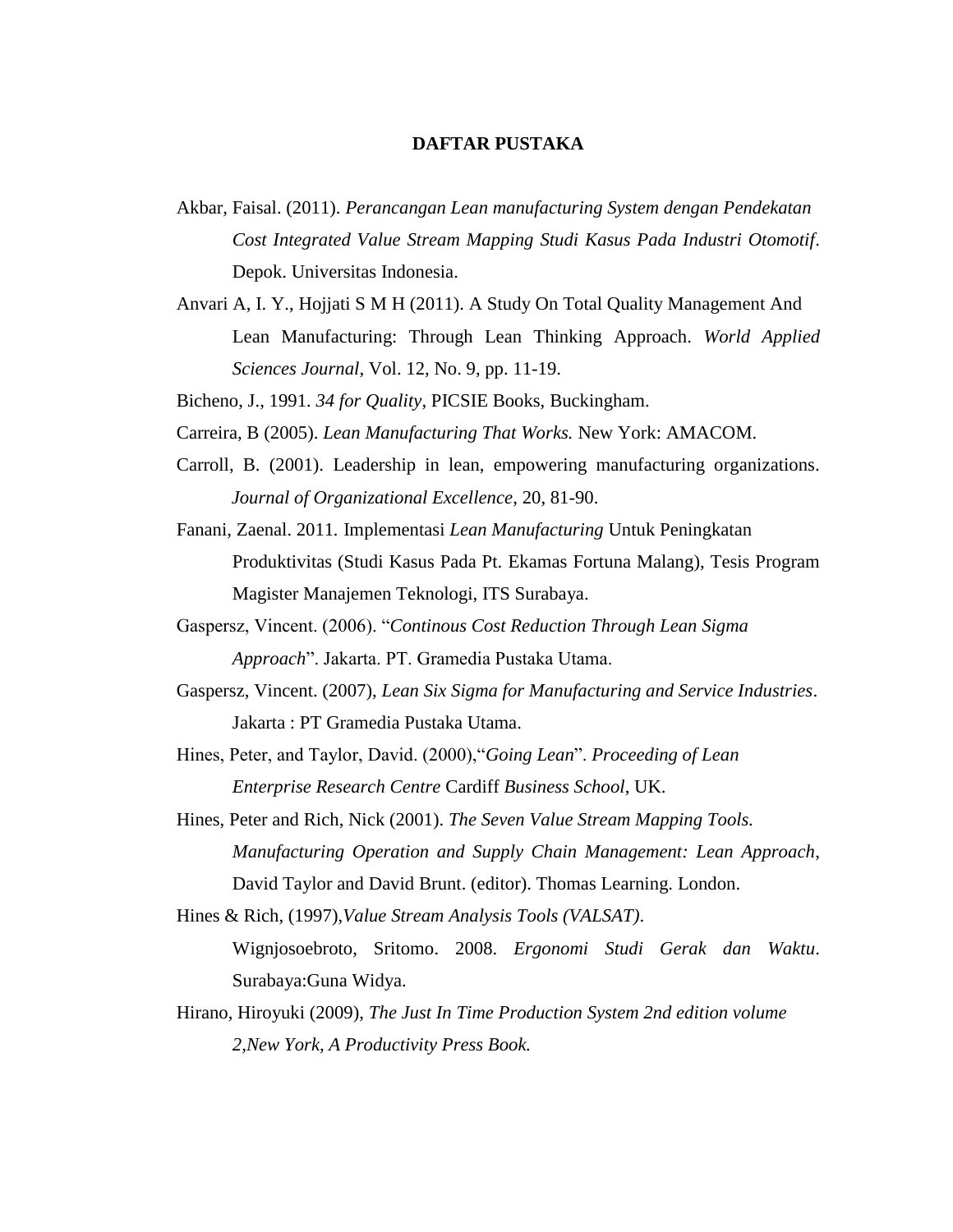## **DAFTAR PUSTAKA**

- Akbar, Faisal. (2011). *Perancangan Lean manufacturing System dengan Pendekatan Cost Integrated Value Stream Mapping Studi Kasus Pada Industri Otomotif*. Depok. Universitas Indonesia.
- Anvari A, I. Y., Hojjati S M H (2011). A Study On Total Quality Management And Lean Manufacturing: Through Lean Thinking Approach. *World Applied Sciences Journal*, Vol. 12, No. 9, pp. 11-19.
- Bicheno, J., 1991. *34 for Quality*, PICSIE Books, Buckingham.
- Carreira, B (2005). *Lean Manufacturing That Works.* New York: AMACOM.
- Carroll, B. (2001). Leadership in lean, empowering manufacturing organizations. *Journal of Organizational Excellence*, 20, 81-90.
- Fanani, Zaenal. 2011*.* Implementasi *Lean Manufacturing* Untuk Peningkatan Produktivitas (Studi Kasus Pada Pt. Ekamas Fortuna Malang), Tesis Program Magister Manajemen Teknologi, ITS Surabaya.
- Gaspersz, Vincent. (2006). "*Continous Cost Reduction Through Lean Sigma Approach*". Jakarta. PT. Gramedia Pustaka Utama.
- Gaspersz, Vincent. (2007), *Lean Six Sigma for Manufacturing and Service Industries*. Jakarta : PT Gramedia Pustaka Utama.
- Hines, Peter, and Taylor, David. (2000),"*Going Lean*". *Proceeding of Lean Enterprise Research Centre* Cardiff *Business School*, UK.
- Hines, Peter and Rich, Nick (2001). *The Seven Value Stream Mapping Tools. Manufacturing Operation and Supply Chain Management: Lean Approach*, David Taylor and David Brunt. (editor). Thomas Learning. London.

Hines & Rich, (1997),*Value Stream Analysis Tools (VALSAT)*.

Wignjosoebroto, Sritomo. 2008. *Ergonomi Studi Gerak dan Waktu*. Surabaya:Guna Widya.

Hirano, Hiroyuki (2009), *The Just In Time Production System 2nd edition volume 2,New York, A Productivity Press Book.*